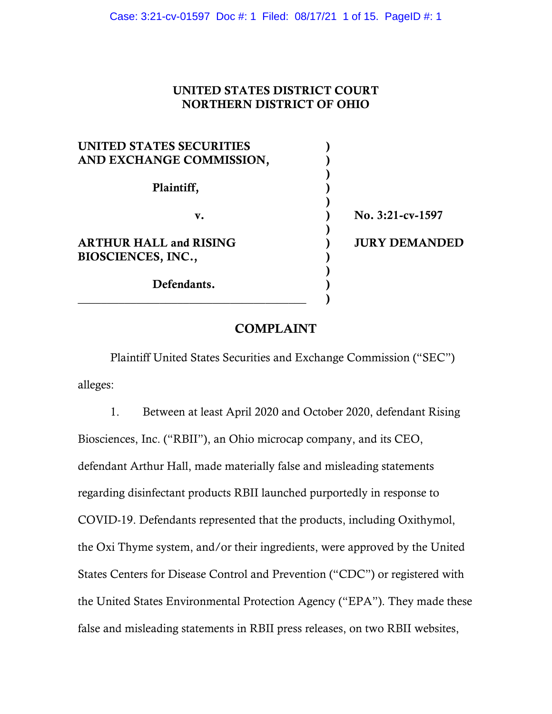## UNITED STATES DISTRICT COURT NORTHERN DISTRICT OF OHIO

| UNITED STATES SECURITIES      |                      |
|-------------------------------|----------------------|
| AND EXCHANGE COMMISSION,      |                      |
|                               |                      |
| Plaintiff,                    |                      |
|                               |                      |
| v.                            | No. 3:21-cv-1597     |
|                               |                      |
| <b>ARTHUR HALL and RISING</b> | <b>JURY DEMANDED</b> |
| BIOSCIENCES, INC.,            |                      |
|                               |                      |
| Defendants.                   |                      |
|                               |                      |

# COMPLAINT

Plaintiff United States Securities and Exchange Commission ("SEC") alleges:

1. Between at least April 2020 and October 2020, defendant Rising Biosciences, Inc. ("RBII"), an Ohio microcap company, and its CEO, defendant Arthur Hall, made materially false and misleading statements regarding disinfectant products RBII launched purportedly in response to COVID-19. Defendants represented that the products, including Oxithymol, the Oxi Thyme system, and/or their ingredients, were approved by the United States Centers for Disease Control and Prevention ("CDC") or registered with the United States Environmental Protection Agency ("EPA"). They made these false and misleading statements in RBII press releases, on two RBII websites,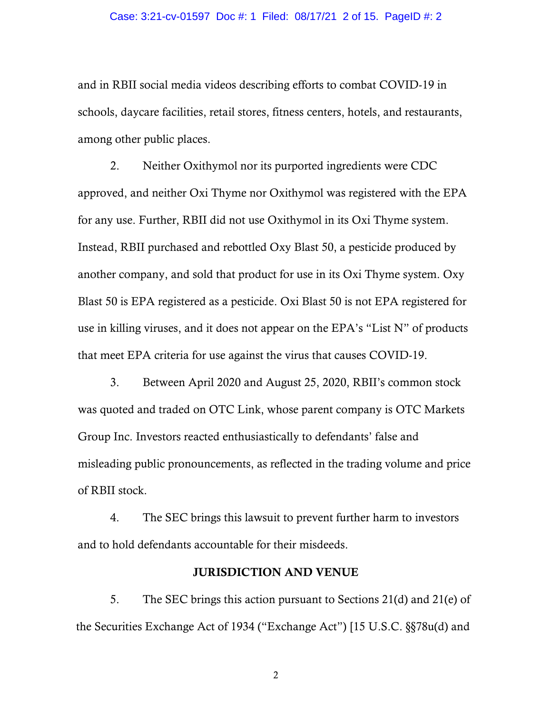#### Case: 3:21-cv-01597 Doc #: 1 Filed: 08/17/21 2 of 15. PageID #: 2

and in RBII social media videos describing efforts to combat COVID-19 in schools, daycare facilities, retail stores, fitness centers, hotels, and restaurants, among other public places.

2. Neither Oxithymol nor its purported ingredients were CDC approved, and neither Oxi Thyme nor Oxithymol was registered with the EPA for any use. Further, RBII did not use Oxithymol in its Oxi Thyme system. Instead, RBII purchased and rebottled Oxy Blast 50, a pesticide produced by another company, and sold that product for use in its Oxi Thyme system. Oxy Blast 50 is EPA registered as a pesticide. Oxi Blast 50 is not EPA registered for use in killing viruses, and it does not appear on the EPA's "List N" of products that meet EPA criteria for use against the virus that causes COVID-19.

3. Between April 2020 and August 25, 2020, RBII's common stock was quoted and traded on OTC Link, whose parent company is OTC Markets Group Inc. Investors reacted enthusiastically to defendants' false and misleading public pronouncements, as reflected in the trading volume and price of RBII stock.

4. The SEC brings this lawsuit to prevent further harm to investors and to hold defendants accountable for their misdeeds.

### JURISDICTION AND VENUE

5. The SEC brings this action pursuant to Sections 21(d) and 21(e) of the Securities Exchange Act of 1934 ("Exchange Act") [15 U.S.C. §§78u(d) and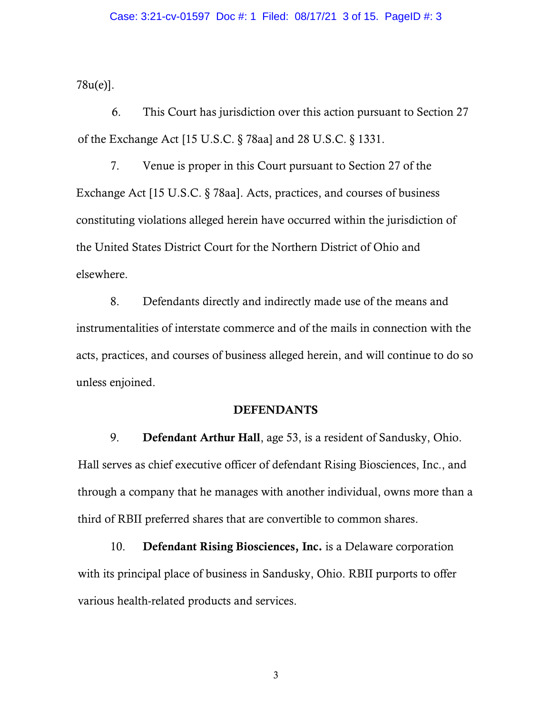78u(e)].

6. This Court has jurisdiction over this action pursuant to Section 27 of the Exchange Act [15 U.S.C. § 78aa] and 28 U.S.C. § 1331.

7. Venue is proper in this Court pursuant to Section 27 of the Exchange Act [15 U.S.C. § 78aa]. Acts, practices, and courses of business constituting violations alleged herein have occurred within the jurisdiction of the United States District Court for the Northern District of Ohio and elsewhere.

8. Defendants directly and indirectly made use of the means and instrumentalities of interstate commerce and of the mails in connection with the acts, practices, and courses of business alleged herein, and will continue to do so unless enjoined.

#### DEFENDANTS

9. Defendant Arthur Hall, age 53, is a resident of Sandusky, Ohio. Hall serves as chief executive officer of defendant Rising Biosciences, Inc., and through a company that he manages with another individual, owns more than a third of RBII preferred shares that are convertible to common shares.

10. Defendant Rising Biosciences, Inc. is a Delaware corporation with its principal place of business in Sandusky, Ohio. RBII purports to offer various health-related products and services.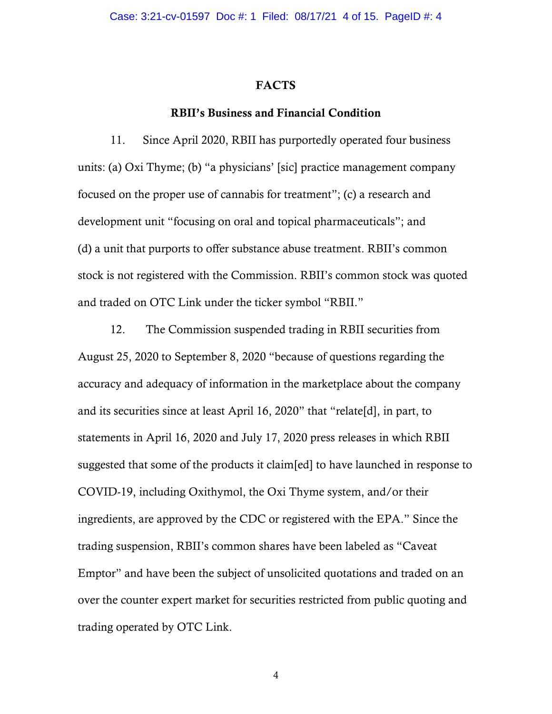#### FACTS

#### RBII's Business and Financial Condition

11. Since April 2020, RBII has purportedly operated four business units: (a) Oxi Thyme; (b) "a physicians' [sic] practice management company focused on the proper use of cannabis for treatment"; (c) a research and development unit "focusing on oral and topical pharmaceuticals"; and (d) a unit that purports to offer substance abuse treatment. RBII's common stock is not registered with the Commission. RBII's common stock was quoted and traded on OTC Link under the ticker symbol "RBII."

12. The Commission suspended trading in RBII securities from August 25, 2020 to September 8, 2020 "because of questions regarding the accuracy and adequacy of information in the marketplace about the company and its securities since at least April 16, 2020" that "relate[d], in part, to statements in April 16, 2020 and July 17, 2020 press releases in which RBII suggested that some of the products it claim[ed] to have launched in response to COVID-19, including Oxithymol, the Oxi Thyme system, and/or their ingredients, are approved by the CDC or registered with the EPA." Since the trading suspension, RBII's common shares have been labeled as "Caveat Emptor" and have been the subject of unsolicited quotations and traded on an over the counter expert market for securities restricted from public quoting and trading operated by OTC Link.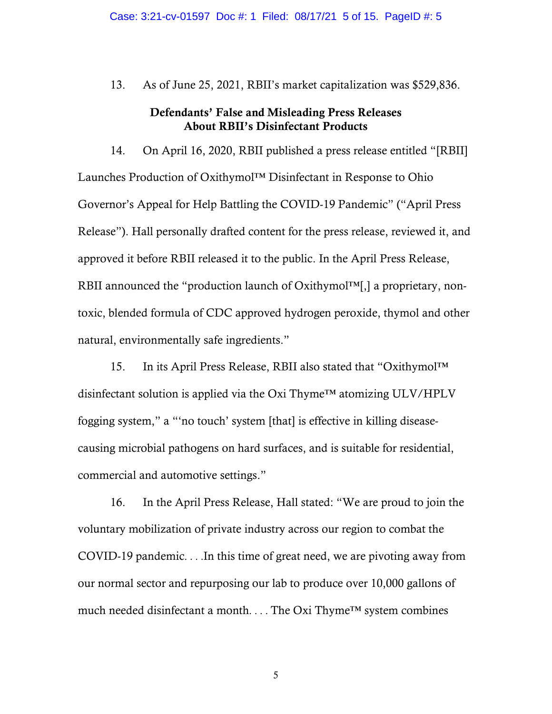13. As of June 25, 2021, RBII's market capitalization was \$529,836.

## Defendants' False and Misleading Press Releases About RBII's Disinfectant Products

14. On April 16, 2020, RBII published a press release entitled "[RBII] Launches Production of Oxithymol™ Disinfectant in Response to Ohio Governor's Appeal for Help Battling the COVID-19 Pandemic" ("April Press Release"). Hall personally drafted content for the press release, reviewed it, and approved it before RBII released it to the public. In the April Press Release, RBII announced the "production launch of Oxithymol™[,] a proprietary, nontoxic, blended formula of CDC approved hydrogen peroxide, thymol and other natural, environmentally safe ingredients."

15. In its April Press Release, RBII also stated that "Oxithymol™ disinfectant solution is applied via the Oxi Thyme™ atomizing ULV/HPLV fogging system," a "'no touch' system [that] is effective in killing diseasecausing microbial pathogens on hard surfaces, and is suitable for residential, commercial and automotive settings."

16. In the April Press Release, Hall stated: "We are proud to join the voluntary mobilization of private industry across our region to combat the COVID-19 pandemic. . . .In this time of great need, we are pivoting away from our normal sector and repurposing our lab to produce over 10,000 gallons of much needed disinfectant a month. . . . The Oxi Thyme™ system combines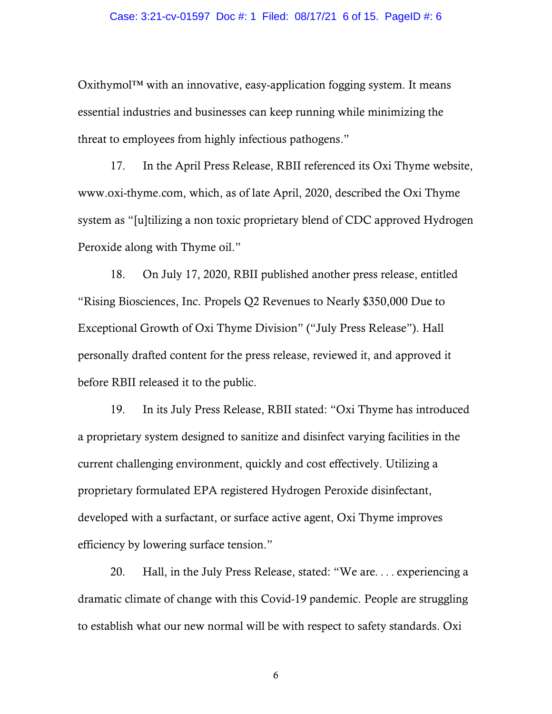#### Case: 3:21-cv-01597 Doc #: 1 Filed: 08/17/21 6 of 15. PageID #: 6

 $Oxithymol<sup>TM</sup> with an innovative, easy-application fogging system. It means$ essential industries and businesses can keep running while minimizing the threat to employees from highly infectious pathogens."

17. In the April Press Release, RBII referenced its Oxi Thyme website, www.oxi-thyme.com, which, as of late April, 2020, described the Oxi Thyme system as "[u]tilizing a non toxic proprietary blend of CDC approved Hydrogen Peroxide along with Thyme oil."

18. On July 17, 2020, RBII published another press release, entitled "Rising Biosciences, Inc. Propels Q2 Revenues to Nearly \$350,000 Due to Exceptional Growth of Oxi Thyme Division" ("July Press Release"). Hall personally drafted content for the press release, reviewed it, and approved it before RBII released it to the public.

19. In its July Press Release, RBII stated: "Oxi Thyme has introduced a proprietary system designed to sanitize and disinfect varying facilities in the current challenging environment, quickly and cost effectively. Utilizing a proprietary formulated EPA registered Hydrogen Peroxide disinfectant, developed with a surfactant, or surface active agent, Oxi Thyme improves efficiency by lowering surface tension."

20. Hall, in the July Press Release, stated: "We are. . . . experiencing a dramatic climate of change with this Covid-19 pandemic. People are struggling to establish what our new normal will be with respect to safety standards. Oxi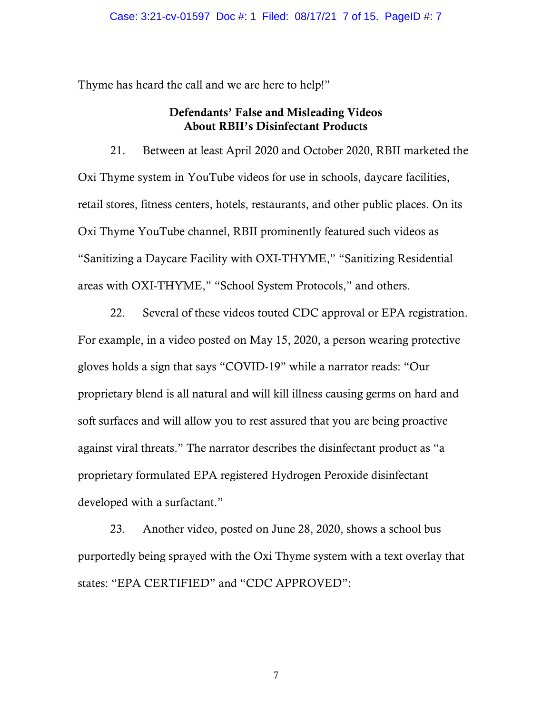Thyme has heard the call and we are here to help!"

## Defendants' False and Misleading Videos About RBII's Disinfectant Products

21. Between at least April 2020 and October 2020, RBII marketed the Oxi Thyme system in YouTube videos for use in schools, daycare facilities, retail stores, fitness centers, hotels, restaurants, and other public places. On its Oxi Thyme YouTube channel, RBII prominently featured such videos as "Sanitizing a Daycare Facility with OXI-THYME," "Sanitizing Residential areas with OXI-THYME," "School System Protocols," and others.

22. Several of these videos touted CDC approval or EPA registration. For example, in a video posted on May 15, 2020, a person wearing protective gloves holds a sign that says "COVID-19" while a narrator reads: "Our proprietary blend is all natural and will kill illness causing germs on hard and soft surfaces and will allow you to rest assured that you are being proactive against viral threats." The narrator describes the disinfectant product as "a proprietary formulated EPA registered Hydrogen Peroxide disinfectant developed with a surfactant."

23. Another video, posted on June 28, 2020, shows a school bus purportedly being sprayed with the Oxi Thyme system with a text overlay that states: "EPA CERTIFIED" and "CDC APPROVED":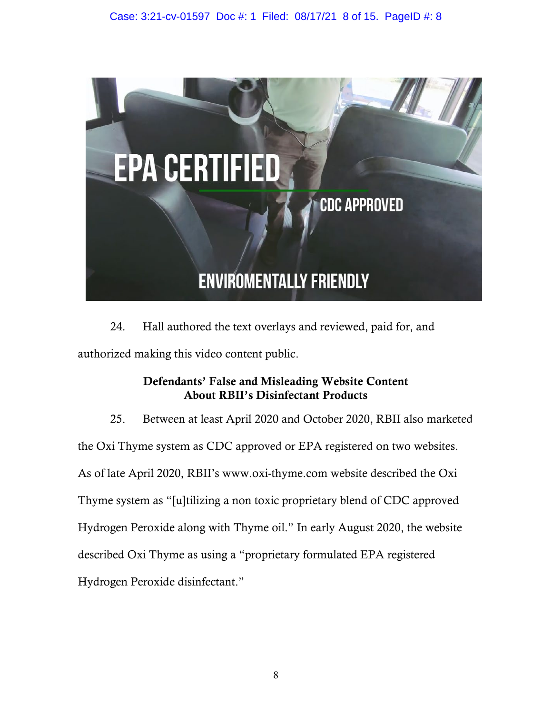

24. Hall authored the text overlays and reviewed, paid for, and authorized making this video content public.

# Defendants' False and Misleading Website Content About RBII's Disinfectant Products

25. Between at least April 2020 and October 2020, RBII also marketed the Oxi Thyme system as CDC approved or EPA registered on two websites. As of late April 2020, RBII's www.oxi-thyme.com website described the Oxi Thyme system as "[u]tilizing a non toxic proprietary blend of CDC approved Hydrogen Peroxide along with Thyme oil." In early August 2020, the website described Oxi Thyme as using a "proprietary formulated EPA registered Hydrogen Peroxide disinfectant."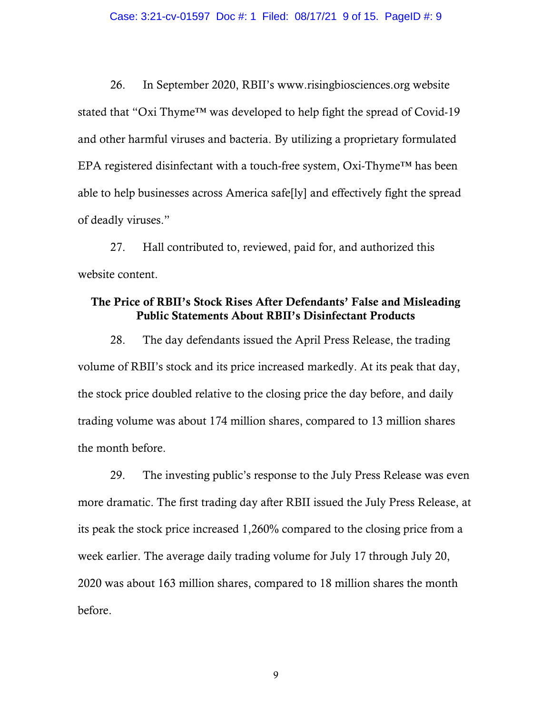26. In September 2020, RBII's www.risingbiosciences.org website stated that "Oxi Thyme™ was developed to help fight the spread of Covid-19 and other harmful viruses and bacteria. By utilizing a proprietary formulated EPA registered disinfectant with a touch-free system,  $Oxi$ -Thyme<sup>TM</sup> has been able to help businesses across America safe[ly] and effectively fight the spread of deadly viruses."

27. Hall contributed to, reviewed, paid for, and authorized this website content.

## The Price of RBII's Stock Rises After Defendants' False and Misleading Public Statements About RBII's Disinfectant Products

28. The day defendants issued the April Press Release, the trading volume of RBII's stock and its price increased markedly. At its peak that day, the stock price doubled relative to the closing price the day before, and daily trading volume was about 174 million shares, compared to 13 million shares the month before.

29. The investing public's response to the July Press Release was even more dramatic. The first trading day after RBII issued the July Press Release, at its peak the stock price increased 1,260% compared to the closing price from a week earlier. The average daily trading volume for July 17 through July 20, 2020 was about 163 million shares, compared to 18 million shares the month before.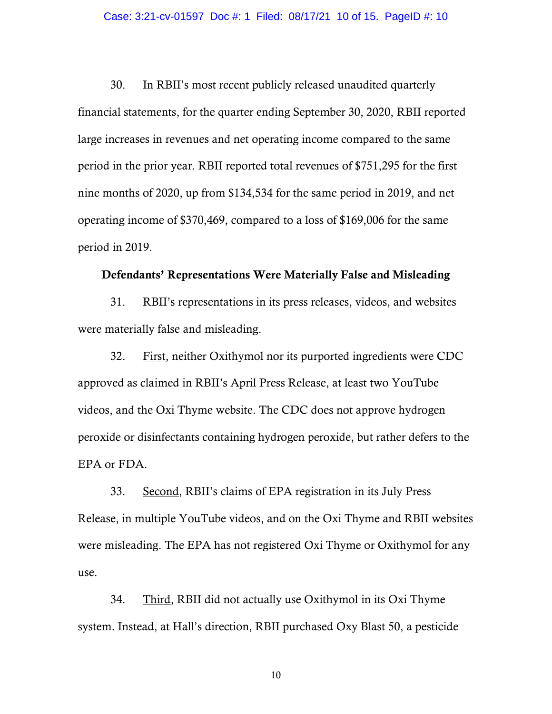30. In RBII's most recent publicly released unaudited quarterly financial statements, for the quarter ending September 30, 2020, RBII reported large increases in revenues and net operating income compared to the same period in the prior year. RBII reported total revenues of \$751,295 for the first nine months of 2020, up from \$134,534 for the same period in 2019, and net operating income of \$370,469, compared to a loss of \$169,006 for the same period in 2019.

### Defendants' Representations Were Materially False and Misleading

31. RBII's representations in its press releases, videos, and websites were materially false and misleading.

32. First, neither Oxithymol nor its purported ingredients were CDC approved as claimed in RBII's April Press Release, at least two YouTube videos, and the Oxi Thyme website. The CDC does not approve hydrogen peroxide or disinfectants containing hydrogen peroxide, but rather defers to the EPA or FDA.

33. Second, RBII's claims of EPA registration in its July Press Release, in multiple YouTube videos, and on the Oxi Thyme and RBII websites were misleading. The EPA has not registered Oxi Thyme or Oxithymol for any use.

34. Third, RBII did not actually use Oxithymol in its Oxi Thyme system. Instead, at Hall's direction, RBII purchased Oxy Blast 50, a pesticide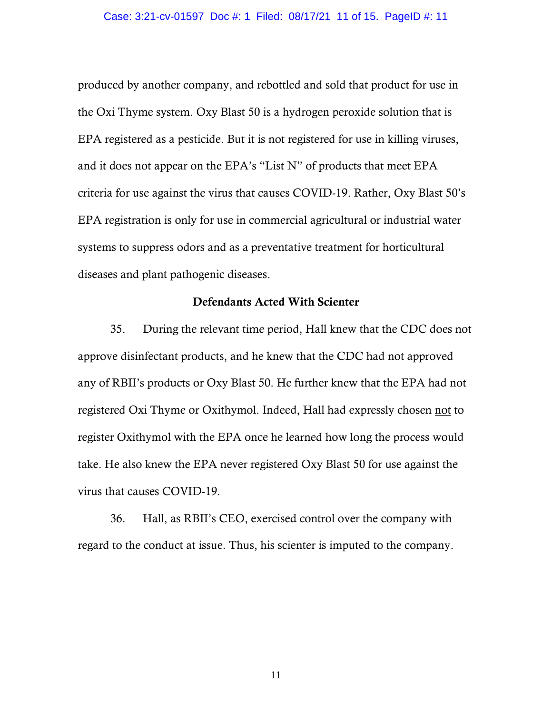produced by another company, and rebottled and sold that product for use in the Oxi Thyme system. Oxy Blast 50 is a hydrogen peroxide solution that is EPA registered as a pesticide. But it is not registered for use in killing viruses, and it does not appear on the EPA's "List N" of products that meet EPA criteria for use against the virus that causes COVID-19. Rather, Oxy Blast 50's EPA registration is only for use in commercial agricultural or industrial water systems to suppress odors and as a preventative treatment for horticultural diseases and plant pathogenic diseases.

#### Defendants Acted With Scienter

35. During the relevant time period, Hall knew that the CDC does not approve disinfectant products, and he knew that the CDC had not approved any of RBII's products or Oxy Blast 50. He further knew that the EPA had not registered Oxi Thyme or Oxithymol. Indeed, Hall had expressly chosen not to register Oxithymol with the EPA once he learned how long the process would take. He also knew the EPA never registered Oxy Blast 50 for use against the virus that causes COVID-19.

36. Hall, as RBII's CEO, exercised control over the company with regard to the conduct at issue. Thus, his scienter is imputed to the company.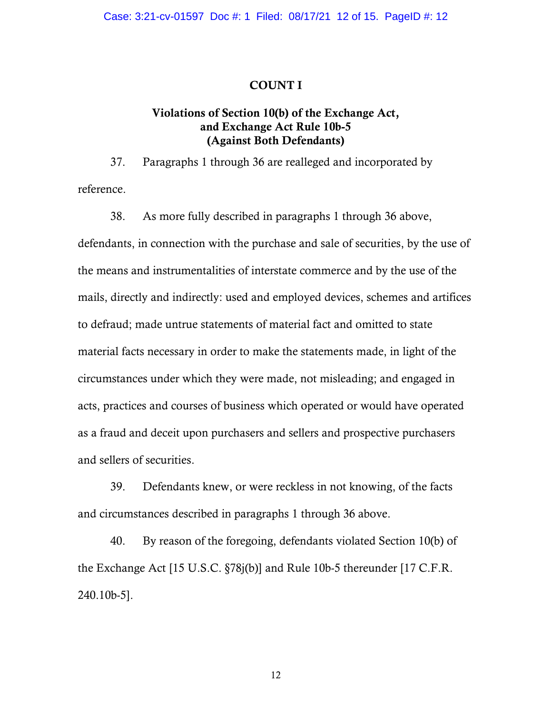#### COUNT I

## Violations of Section 10(b) of the Exchange Act, and Exchange Act Rule 10b-5 (Against Both Defendants)

37. Paragraphs 1 through 36 are realleged and incorporated by reference.

38. As more fully described in paragraphs 1 through 36 above, defendants, in connection with the purchase and sale of securities, by the use of the means and instrumentalities of interstate commerce and by the use of the mails, directly and indirectly: used and employed devices, schemes and artifices to defraud; made untrue statements of material fact and omitted to state material facts necessary in order to make the statements made, in light of the circumstances under which they were made, not misleading; and engaged in acts, practices and courses of business which operated or would have operated as a fraud and deceit upon purchasers and sellers and prospective purchasers and sellers of securities.

39. Defendants knew, or were reckless in not knowing, of the facts and circumstances described in paragraphs 1 through 36 above.

40. By reason of the foregoing, defendants violated Section 10(b) of the Exchange Act [15 U.S.C. §78j(b)] and Rule 10b-5 thereunder [17 C.F.R. 240.10b-5].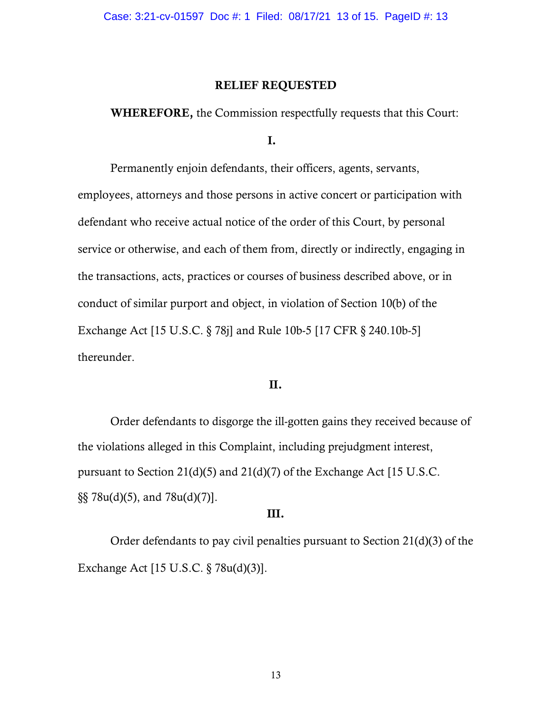#### RELIEF REQUESTED

WHEREFORE, the Commission respectfully requests that this Court:

I.

Permanently enjoin defendants, their officers, agents, servants, employees, attorneys and those persons in active concert or participation with defendant who receive actual notice of the order of this Court, by personal service or otherwise, and each of them from, directly or indirectly, engaging in the transactions, acts, practices or courses of business described above, or in conduct of similar purport and object, in violation of Section 10(b) of the Exchange Act [15 U.S.C. § 78j] and Rule 10b-5 [17 CFR § 240.10b-5] thereunder.

### II.

Order defendants to disgorge the ill-gotten gains they received because of the violations alleged in this Complaint, including prejudgment interest, pursuant to Section 21(d)(5) and 21(d)(7) of the Exchange Act [15 U.S.C.  $\S$ §§ 78u(d)(5), and 78u(d)(7).

### III.

Order defendants to pay civil penalties pursuant to Section 21(d)(3) of the Exchange Act [15 U.S.C. § 78u(d)(3)].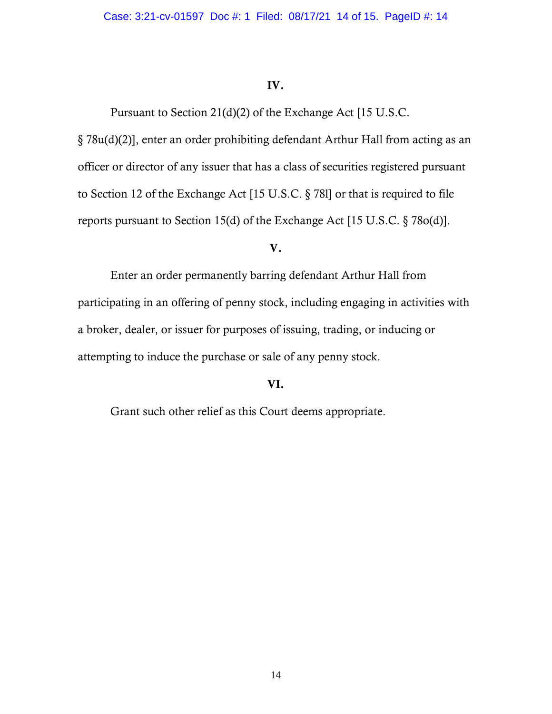### IV.

Pursuant to Section 21(d)(2) of the Exchange Act [15 U.S.C.

§ 78u(d)(2)], enter an order prohibiting defendant Arthur Hall from acting as an officer or director of any issuer that has a class of securities registered pursuant to Section 12 of the Exchange Act [15 U.S.C. § 78l] or that is required to file reports pursuant to Section 15(d) of the Exchange Act [15 U.S.C. § 78o(d)].

### V.

Enter an order permanently barring defendant Arthur Hall from participating in an offering of penny stock, including engaging in activities with a broker, dealer, or issuer for purposes of issuing, trading, or inducing or attempting to induce the purchase or sale of any penny stock.

## VI.

Grant such other relief as this Court deems appropriate.